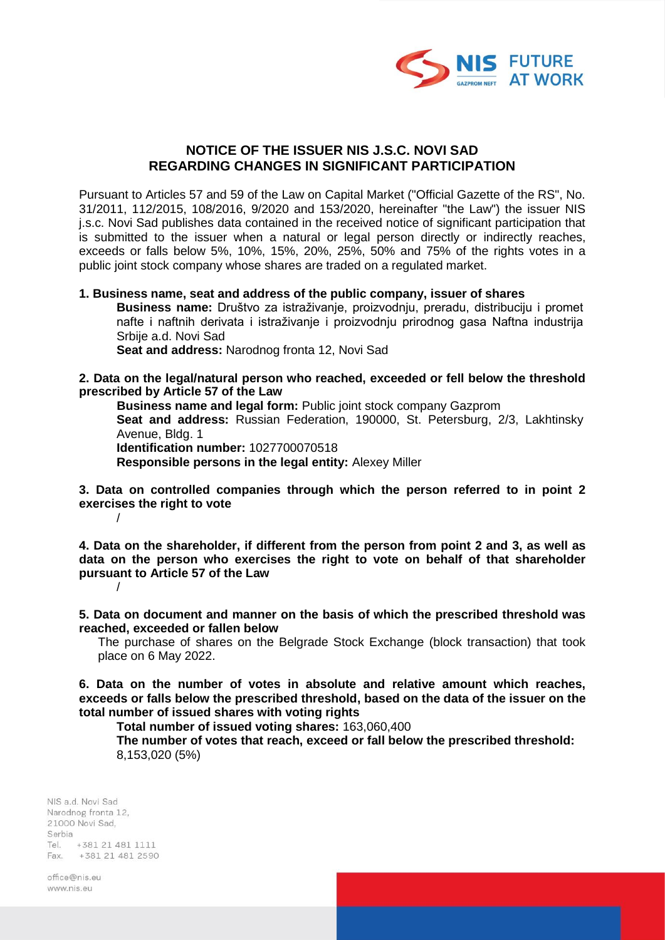

## **NOTICE OF THE ISSUER NIS J.S.C. NOVI SAD REGARDING CHANGES IN SIGNIFICANT PARTICIPATION**

Pursuant to Articles 57 and 59 of the Law on Capital Market ("Official Gazette of the RS", No. 31/2011, 112/2015, 108/2016, 9/2020 and 153/2020, hereinafter "the Law") the issuer NIS j.s.c. Novi Sad publishes data contained in the received notice of significant participation that is submitted to the issuer when a natural or legal person directly or indirectly reaches, exceeds or falls below 5%, 10%, 15%, 20%, 25%, 50% and 75% of the rights votes in a public joint stock company whose shares are traded on a regulated market.

## **1. Business name, seat and address of the public company, issuer of shares**

**Business name:** Društvo za istraživanje, proizvodnju, preradu, distribuciju i promet nafte i naftnih derivata i istraživanje i proizvodnju prirodnog gasa Naftna industrija Srbije a.d. Novi Sad

**Seat and address:** Narodnog fronta 12, Novi Sad

**2. Data on the legal/natural person who reached, exceeded or fell below the threshold prescribed by Article 57 of the Law**

**Business name and legal form:** Public joint stock company Gazprom **Seat and address:** Russian Federation, 190000, St. Petersburg, 2/3, Lakhtinsky Avenue, Bldg. 1 **Identification number:** 1027700070518

**Responsible persons in the legal entity:** Alexey Miller

**3. Data on controlled companies through which the person referred to in point 2 exercises the right to vote** /

**4. Data on the shareholder, if different from the person from point 2 and 3, as well as data on the person who exercises the right to vote on behalf of that shareholder pursuant to Article 57 of the Law** /

**5. Data on document and manner on the basis of which the prescribed threshold was reached, exceeded or fallen below**

The purchase of shares on the Belgrade Stock Exchange (block transaction) that took place on 6 May 2022.

**6. Data on the number of votes in absolute and relative amount which reaches, exceeds or falls below the prescribed threshold, based on the data of the issuer on the total number of issued shares with voting rights**

**Total number of issued voting shares:** 163,060,400

**The number of votes that reach, exceed or fall below the prescribed threshold:** 8,153,020 (5%)

NIS a.d. Novi Sad Narodnog fronta 12, 21000 Novi Sad. Serbia Tel. +381 21 481 1111 Fax. +381 21 481 2590

office@niseu www.nis.eu